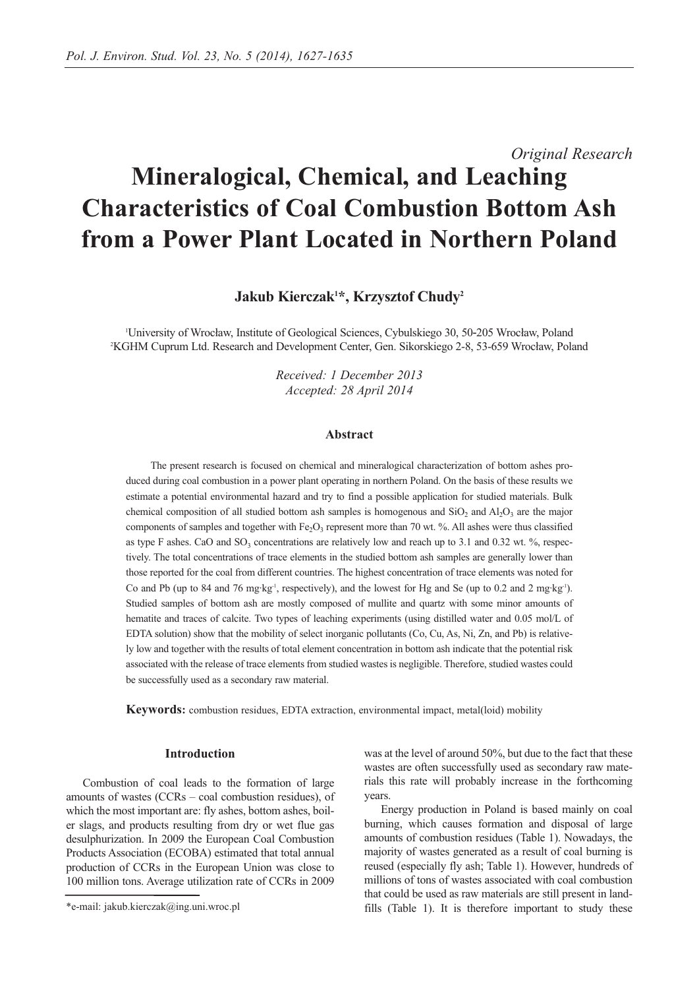# *Original Research* **Mineralogical, Chemical, and Leaching Characteristics of Coal Combustion Bottom Ash from a Power Plant Located in Northern Poland**

**Jakub Kierczak1 \*, Krzysztof Chudy2**

1 University of Wrocław, Institute of Geological Sciences, Cybulskiego 30, 50‐205 Wrocław, Poland 2 KGHM Cuprum Ltd. Research and Development Center, Gen. Sikorskiego 2-8, 53-659 Wrocław, Poland

> *Received: 1 December 2013 Accepted: 28 April 2014*

#### **Abstract**

The present research is focused on chemical and mineralogical characterization of bottom ashes produced during coal combustion in a power plant operating in northern Poland. On the basis of these results we estimate a potential environmental hazard and try to find a possible application for studied materials. Bulk chemical composition of all studied bottom ash samples is homogenous and  $SiO<sub>2</sub>$  and  $Al<sub>2</sub>O<sub>3</sub>$  are the major components of samples and together with Fe<sub>2</sub>O<sub>3</sub> represent more than 70 wt. %. All ashes were thus classified as type F ashes. CaO and  $SO_3$  concentrations are relatively low and reach up to 3.1 and 0.32 wt. %, respectively. The total concentrations of trace elements in the studied bottom ash samples are generally lower than those reported for the coal from different countries. The highest concentration of trace elements was noted for Co and Pb (up to 84 and 76 mg·kg-1, respectively), and the lowest for Hg and Se (up to 0.2 and 2 mg·kg-1). Studied samples of bottom ash are mostly composed of mullite and quartz with some minor amounts of hematite and traces of calcite. Two types of leaching experiments (using distilled water and 0.05 mol/L of EDTA solution) show that the mobility of select inorganic pollutants (Co, Cu, As, Ni, Zn, and Pb) is relatively low and together with the results of total element concentration in bottom ash indicate that the potential risk associated with the release of trace elements from studied wastes is negligible. Therefore, studied wastes could be successfully used as a secondary raw material.

**Keywords:** combustion residues, EDTA extraction, environmental impact, metal(loid) mobility

## **Introduction**

Combustion of coal leads to the formation of large amounts of wastes (CCRs – coal combustion residues), of which the most important are: fly ashes, bottom ashes, boiler slags, and products resulting from dry or wet flue gas desulphurization. In 2009 the European Coal Combustion Products Association (ECOBA) estimated that total annual production of CCRs in the European Union was close to 100 million tons. Average utilization rate of CCRs in 2009

was at the level of around 50%, but due to the fact that these wastes are often successfully used as secondary raw materials this rate will probably increase in the forthcoming years.

Energy production in Poland is based mainly on coal burning, which causes formation and disposal of large amounts of combustion residues (Table 1). Nowadays, the majority of wastes generated as a result of coal burning is reused (especially fly ash; Table 1). However, hundreds of millions of tons of wastes associated with coal combustion that could be used as raw materials are still present in landfills (Table 1). It is therefore important to study these

<sup>\*</sup>e-mail: jakub.kierczak@ing.uni.wroc.pl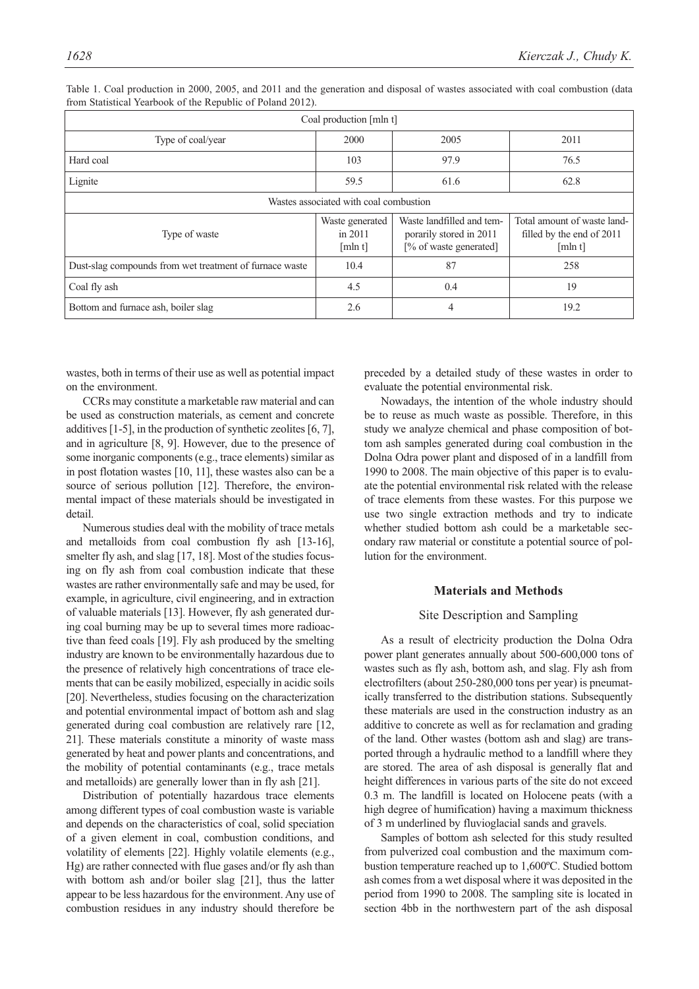| Coal production [mln t]                                 |                                       |                                                                                |                                                                     |  |  |  |  |  |
|---------------------------------------------------------|---------------------------------------|--------------------------------------------------------------------------------|---------------------------------------------------------------------|--|--|--|--|--|
| Type of coal/year                                       | 2000                                  | 2005                                                                           | 2011                                                                |  |  |  |  |  |
| Hard coal                                               | 103                                   | 97.9                                                                           | 76.5                                                                |  |  |  |  |  |
| Lignite                                                 | 59.5                                  | 61.6                                                                           | 62.8                                                                |  |  |  |  |  |
| Wastes associated with coal combustion                  |                                       |                                                                                |                                                                     |  |  |  |  |  |
| Type of waste                                           | Waste generated<br>in 2011<br>[mln t] | Waste landfilled and tem-<br>porarily stored in 2011<br>[% of waste generated] | Total amount of waste land-<br>filled by the end of 2011<br>[mln t] |  |  |  |  |  |
| Dust-slag compounds from wet treatment of furnace waste | 10.4                                  | 87                                                                             | 258                                                                 |  |  |  |  |  |
| Coal fly ash                                            | 4.5                                   | 0.4                                                                            | 19                                                                  |  |  |  |  |  |
| Bottom and furnace ash, boiler slag                     | 2.6                                   | 4                                                                              | 19.2                                                                |  |  |  |  |  |

Table 1. Coal production in 2000, 2005, and 2011 and the generation and disposal of wastes associated with coal combustion (data from Statistical Yearbook of the Republic of Poland 2012).

wastes, both in terms of their use as well as potential impact on the environment.

CCRs may constitute a marketable raw material and can be used as construction materials, as cement and concrete additives [1-5], in the production of synthetic zeolites [6, 7], and in agriculture [8, 9]. However, due to the presence of some inorganic components (e.g., trace elements) similar as in post flotation wastes [10, 11], these wastes also can be a source of serious pollution [12]. Therefore, the environmental impact of these materials should be investigated in detail.

Numerous studies deal with the mobility of trace metals and metalloids from coal combustion fly ash [13-16], smelter fly ash, and slag [17, 18]. Most of the studies focusing on fly ash from coal combustion indicate that these wastes are rather environmentally safe and may be used, for example, in agriculture, civil engineering, and in extraction of valuable materials [13]. However, fly ash generated during coal burning may be up to several times more radioactive than feed coals [19]. Fly ash produced by the smelting industry are known to be environmentally hazardous due to the presence of relatively high concentrations of trace elements that can be easily mobilized, especially in acidic soils [20]. Nevertheless, studies focusing on the characterization and potential environmental impact of bottom ash and slag generated during coal combustion are relatively rare [12, 21]. These materials constitute a minority of waste mass generated by heat and power plants and concentrations, and the mobility of potential contaminants (e.g., trace metals and metalloids) are generally lower than in fly ash [21].

Distribution of potentially hazardous trace elements among different types of coal combustion waste is variable and depends on the characteristics of coal, solid speciation of a given element in coal, combustion conditions, and volatility of elements [22]. Highly volatile elements (e.g., Hg) are rather connected with flue gases and/or fly ash than with bottom ash and/or boiler slag [21], thus the latter appear to be less hazardous for the environment. Any use of combustion residues in any industry should therefore be preceded by a detailed study of these wastes in order to evaluate the potential environmental risk.

Nowadays, the intention of the whole industry should be to reuse as much waste as possible. Therefore, in this study we analyze chemical and phase composition of bottom ash samples generated during coal combustion in the Dolna Odra power plant and disposed of in a landfill from 1990 to 2008. The main objective of this paper is to evaluate the potential environmental risk related with the release of trace elements from these wastes. For this purpose we use two single extraction methods and try to indicate whether studied bottom ash could be a marketable secondary raw material or constitute a potential source of pollution for the environment.

## **Materials and Methods**

## Site Description and Sampling

As a result of electricity production the Dolna Odra power plant generates annually about 500-600,000 tons of wastes such as fly ash, bottom ash, and slag. Fly ash from electrofilters (about 250-280,000 tons per year) is pneumatically transferred to the distribution stations. Subsequently these materials are used in the construction industry as an additive to concrete as well as for reclamation and grading of the land. Other wastes (bottom ash and slag) are transported through a hydraulic method to a landfill where they are stored. The area of ash disposal is generally flat and height differences in various parts of the site do not exceed 0.3 m. The landfill is located on Holocene peats (with a high degree of humification) having a maximum thickness of 3 m underlined by fluvioglacial sands and gravels.

Samples of bottom ash selected for this study resulted from pulverized coal combustion and the maximum combustion temperature reached up to 1,600ºC. Studied bottom ash comes from a wet disposal where it was deposited in the period from 1990 to 2008. The sampling site is located in section 4bb in the northwestern part of the ash disposal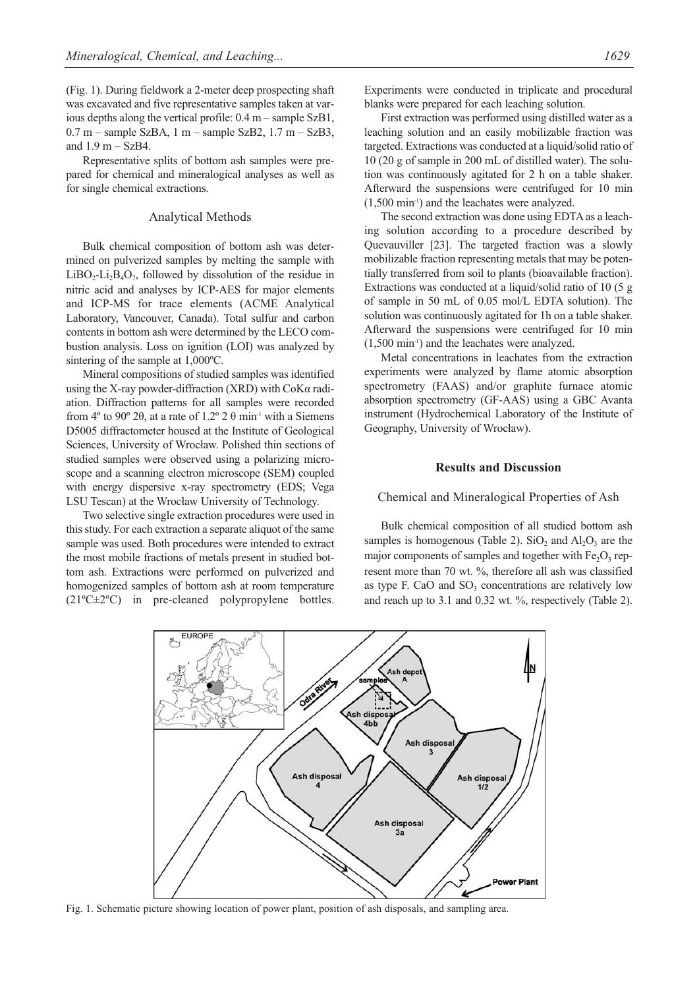(Fig. 1). During fieldwork a 2-meter deep prospecting shaft was excavated and five representative samples taken at various depths along the vertical profile: 0.4 m – sample SzB1,  $0.7$  m – sample SzBA, 1 m – sample SzB2, 1.7 m – SzB3, and 1.9 m – SzB4.

Representative splits of bottom ash samples were prepared for chemical and mineralogical analyses as well as for single chemical extractions.

### Analytical Methods

Bulk chemical composition of bottom ash was determined on pulverized samples by melting the sample with  $LiBO<sub>2</sub>-Li<sub>2</sub>B<sub>4</sub>O<sub>7</sub>$ , followed by dissolution of the residue in nitric acid and analyses by ICP-AES for major elements and ICP-MS for trace elements (ACME Analytical Laboratory, Vancouver, Canada). Total sulfur and carbon contents in bottom ash were determined by the LECO combustion analysis. Loss on ignition (LOI) was analyzed by sintering of the sample at 1,000ºC.

Mineral compositions of studied samples was identified using the X-ray powder-diffraction (XRD) with  $\cos \alpha$  radiation. Diffraction patterns for all samples were recorded from 4<sup>o</sup> to 90<sup>o</sup> 2 $\theta$ , at a rate of 1.2<sup>o</sup> 2  $\theta$  min<sup>-1</sup> with a Siemens D5005 diffractometer housed at the Institute of Geological Sciences, University of Wrocław. Polished thin sections of studied samples were observed using a polarizing microscope and a scanning electron microscope (SEM) coupled with energy dispersive x-ray spectrometry (EDS; Vega LSU Tescan) at the Wrocław University of Technology.

Two selective single extraction procedures were used in this study. For each extraction a separate aliquot of the same sample was used. Both procedures were intended to extract the most mobile fractions of metals present in studied bottom ash. Extractions were performed on pulverized and homogenized samples of bottom ash at room temperature (21ºC±2ºC) in pre-cleaned polypropylene bottles. Experiments were conducted in triplicate and procedural blanks were prepared for each leaching solution.

First extraction was performed using distilled water as a leaching solution and an easily mobilizable fraction was targeted. Extractions was conducted at a liquid/solid ratio of 10 (20 g of sample in 200 mL of distilled water). The solution was continuously agitated for 2 h on a table shaker. Afterward the suspensions were centrifuged for 10 min (1,500 min-1) and the leachates were analyzed.

The second extraction was done using EDTA as a leaching solution according to a procedure described by Quevauviller [23]. The targeted fraction was a slowly mobilizable fraction representing metals that may be potentially transferred from soil to plants (bioavailable fraction). Extractions was conducted at a liquid/solid ratio of 10 (5 g of sample in 50 mL of 0.05 mol/L EDTA solution). The solution was continuously agitated for 1h on a table shaker. Afterward the suspensions were centrifuged for 10 min (1,500 min-1) and the leachates were analyzed.

Metal concentrations in leachates from the extraction experiments were analyzed by flame atomic absorption spectrometry (FAAS) and/or graphite furnace atomic absorption spectrometry (GF-AAS) using a GBC Avanta instrument (Hydrochemical Laboratory of the Institute of Geography, University of Wrocław).

# **Results and Discussion**

#### Chemical and Mineralogical Properties of Ash

Bulk chemical composition of all studied bottom ash samples is homogenous (Table 2).  $SiO<sub>2</sub>$  and  $Al<sub>2</sub>O<sub>3</sub>$  are the major components of samples and together with  $Fe<sub>2</sub>O<sub>3</sub>$  represent more than 70 wt. %, therefore all ash was classified as type F. CaO and  $SO<sub>3</sub>$  concentrations are relatively low and reach up to 3.1 and 0.32 wt. %, respectively (Table 2).



Fig. 1. Schematic picture showing location of power plant, position of ash disposals, and sampling area.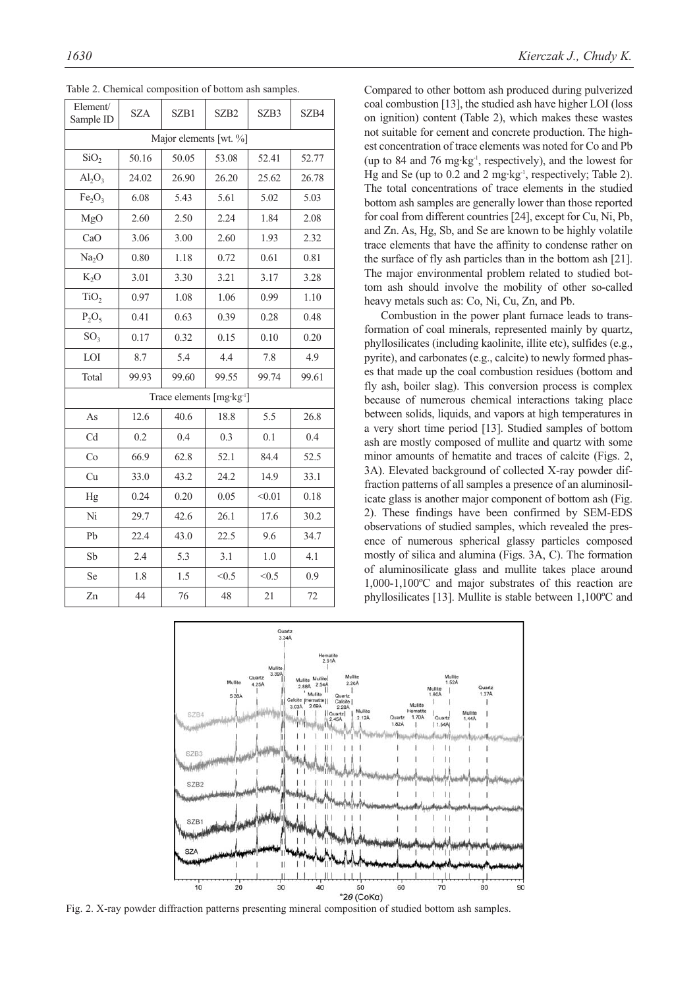| Element/<br>Sample ID                | <b>SZA</b> | SZB1  | SZB <sub>2</sub> | SZB3   | SZB4  |  |  |
|--------------------------------------|------------|-------|------------------|--------|-------|--|--|
| Major elements [wt. %]               |            |       |                  |        |       |  |  |
| SiO <sub>2</sub>                     | 50.16      | 50.05 | 53.08            | 52.41  | 52.77 |  |  |
| $Al_2O_3$                            | 24.02      | 26.90 | 26.20            | 25.62  | 26.78 |  |  |
| Fe <sub>2</sub> O <sub>3</sub>       | 6.08       | 5.43  | 5.61             | 5.02   | 5.03  |  |  |
| MgO                                  | 2.60       | 2.50  | 2.24             | 1.84   | 2.08  |  |  |
| CaO                                  | 3.06       | 3.00  | 2.60             | 1.93   | 2.32  |  |  |
| Na <sub>2</sub> O                    | 0.80       | 1.18  | 0.72             | 0.61   | 0.81  |  |  |
| $K_2O$                               | 3.01       | 3.30  | 3.21             | 3.17   | 3.28  |  |  |
| TiO <sub>2</sub>                     | 0.97       | 1.08  | 1.06             | 0.99   | 1.10  |  |  |
| $P_2O_5$                             | 0.41       | 0.63  | 0.39             | 0.28   | 0.48  |  |  |
| SO <sub>3</sub>                      | 0.17       | 0.32  | 0.15             | 0.10   | 0.20  |  |  |
| LOI                                  | 8.7        | 5.4   | 4.4              | 7.8    | 4.9   |  |  |
| Total                                | 99.93      | 99.60 | 99.55            | 99.74  | 99.61 |  |  |
| Trace elements [mg·kg <sup>1</sup> ] |            |       |                  |        |       |  |  |
| As                                   | 12.6       | 40.6  | 18.8             | 5.5    | 26.8  |  |  |
| Cd                                   | 0.2        | 0.4   | 0.3              | 0.1    | 0.4   |  |  |
| Co                                   | 66.9       | 62.8  | 52.1             | 84.4   | 52.5  |  |  |
| Cu                                   | 33.0       | 43.2  | 24.2             | 14.9   | 33.1  |  |  |
| Hg                                   | 0.24       | 0.20  | 0.05             | < 0.01 | 0.18  |  |  |
| Ni                                   | 29.7       | 42.6  | 26.1             | 17.6   | 30.2  |  |  |
| Pb                                   | 22.4       | 43.0  | 22.5             | 9.6    | 34.7  |  |  |
| Sb                                   | 2.4        | 5.3   | 3.1              | 1.0    | 4.1   |  |  |
| Se                                   | 1.8        | 1.5   | < 0.5            | < 0.5  | 0.9   |  |  |
| Zn                                   | 44         | 76    | 48               | 21     | 72    |  |  |

Table 2. Chemical composition of bottom ash samples.

Compared to other bottom ash produced during pulverized coal combustion [13], the studied ash have higher LOI (loss on ignition) content (Table 2), which makes these wastes not suitable for cement and concrete production. The highest concentration of trace elements was noted for Co and Pb (up to 84 and 76 mg·kg-1, respectively), and the lowest for Hg and Se (up to 0.2 and 2 mg·kg-1, respectively; Table 2). The total concentrations of trace elements in the studied bottom ash samples are generally lower than those reported for coal from different countries [24], except for Cu, Ni, Pb, and Zn. As, Hg, Sb, and Se are known to be highly volatile trace elements that have the affinity to condense rather on the surface of fly ash particles than in the bottom ash [21]. The major environmental problem related to studied bottom ash should involve the mobility of other so-called heavy metals such as: Co, Ni, Cu, Zn, and Pb.

Combustion in the power plant furnace leads to transformation of coal minerals, represented mainly by quartz, phyllosilicates (including kaolinite, illite etc), sulfides (e.g., pyrite), and carbonates (e.g., calcite) to newly formed phases that made up the coal combustion residues (bottom and fly ash, boiler slag). This conversion process is complex because of numerous chemical interactions taking place between solids, liquids, and vapors at high temperatures in a very short time period [13]. Studied samples of bottom ash are mostly composed of mullite and quartz with some minor amounts of hematite and traces of calcite (Figs. 2, 3A). Elevated background of collected X-ray powder diffraction patterns of all samples a presence of an aluminosilicate glass is another major component of bottom ash (Fig. 2). These findings have been confirmed by SEM-EDS observations of studied samples, which revealed the presence of numerous spherical glassy particles composed mostly of silica and alumina (Figs. 3A, C). The formation of aluminosilicate glass and mullite takes place around 1,000-1,100ºC and major substrates of this reaction are phyllosilicates [13]. Mullite is stable between 1,100ºC and



Fig. 2. X-ray powder diffraction patterns presenting mineral composition of studied bottom ash samples.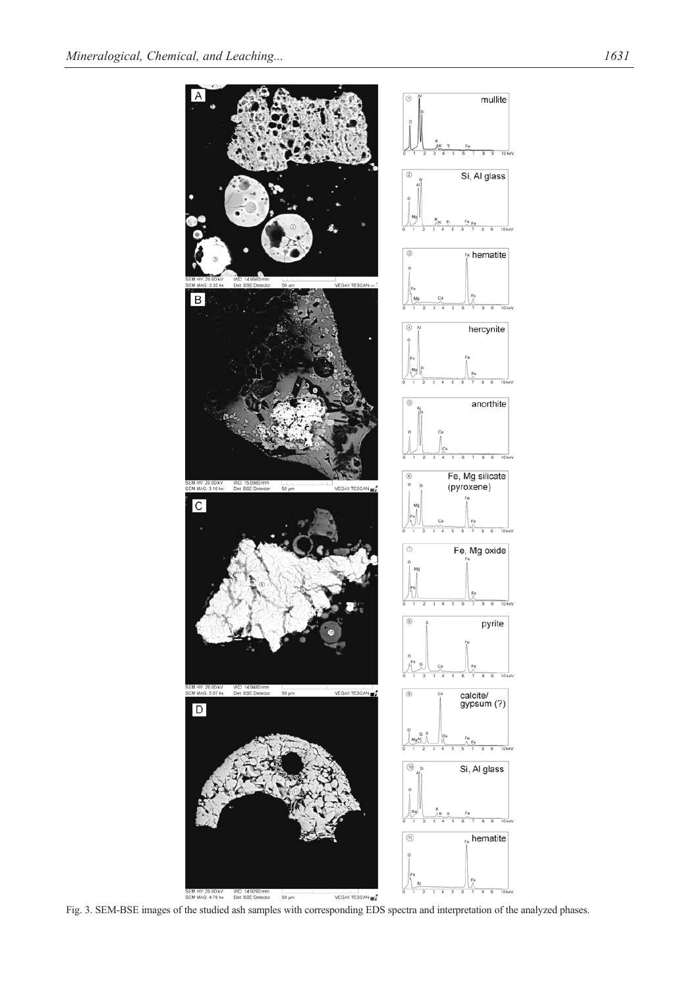

Fig. 3. SEM-BSE images of the studied ash samples with corresponding EDS spectra and interpretation of the analyzed phases.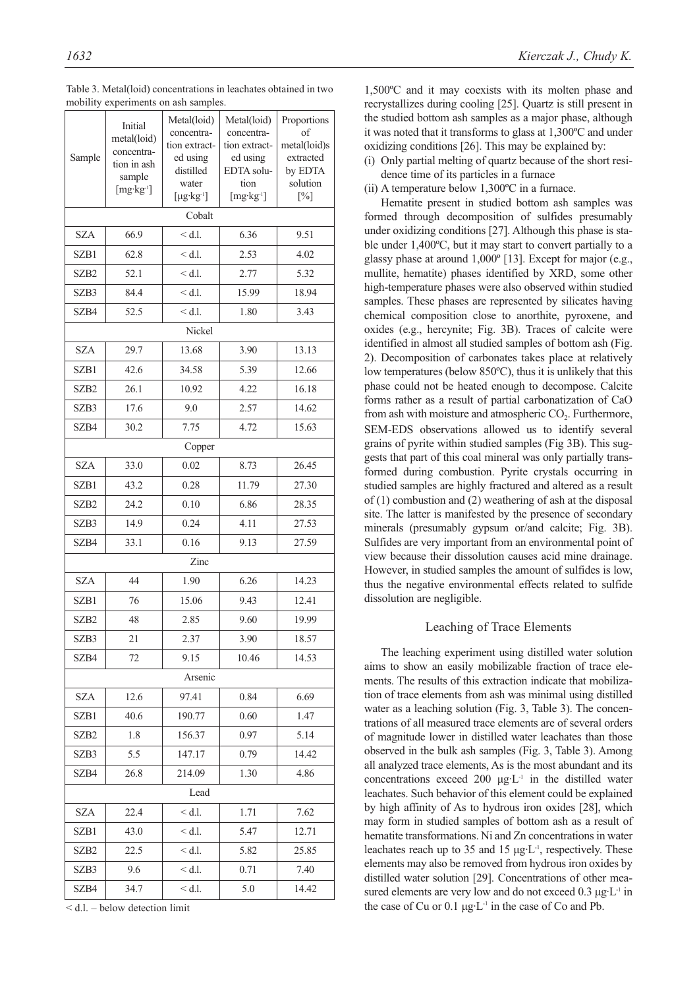|                  | Initial               | Metal(loid)                 | Metal(loid)                 | Proportions        |  |  |  |
|------------------|-----------------------|-----------------------------|-----------------------------|--------------------|--|--|--|
|                  | metal(loid)           | concentra-<br>tion extract- | concentra-<br>tion extract- | of<br>metal(loid)s |  |  |  |
| Sample           | concentra-            | ed using                    | ed using                    | extracted          |  |  |  |
|                  | tion in ash<br>sample | distilled                   | EDTA solu-                  | by EDTA            |  |  |  |
|                  | $[mg \cdot kg^{-1}]$  | water                       | tion                        | solution           |  |  |  |
|                  |                       | $[\mu g \cdot kg^{-1}]$     | $[mg \cdot kg]$             | $[\%]$             |  |  |  |
|                  |                       | Cobalt                      |                             |                    |  |  |  |
| <b>SZA</b>       | 66.9                  | $<$ d.l.                    | 6.36                        | 9.51               |  |  |  |
| SZB1             | 62.8                  | $<$ d.l.                    | 2.53                        | 4.02               |  |  |  |
| SZB <sub>2</sub> | 52.1                  | $<$ d.l.                    | 2.77                        | 5.32               |  |  |  |
| SZB3             | 84.4                  | $<$ d.l.                    | 15.99                       | 18.94              |  |  |  |
| SZB4             | 52.5                  | $<$ d.l.                    | 1.80                        | 3.43               |  |  |  |
|                  |                       | Nickel                      |                             |                    |  |  |  |
| <b>SZA</b>       | 29.7                  | 13.68                       | 3.90                        | 13.13              |  |  |  |
| SZB1             | 42.6                  | 34.58                       | 5.39                        | 12.66              |  |  |  |
| SZB <sub>2</sub> | 26.1                  | 10.92                       | 4.22                        | 16.18              |  |  |  |
| SZB3             | 17.6                  | 9.0                         | 2.57                        | 14.62              |  |  |  |
| SZB4             | 30.2                  | 7.75                        | 4.72                        | 15.63              |  |  |  |
|                  |                       | Copper                      |                             |                    |  |  |  |
| SZA              | 33.0                  | 0.02                        | 8.73                        | 26.45              |  |  |  |
| SZB1             | 43.2                  | 0.28                        | 11.79                       | 27.30              |  |  |  |
| SZB <sub>2</sub> | 24.2                  | 0.10                        | 6.86                        | 28.35              |  |  |  |
| SZB3             | 14.9                  | 0.24                        | 4.11                        | 27.53              |  |  |  |
| SZB4             | 33.1                  | 0.16                        | 9.13                        | 27.59              |  |  |  |
|                  |                       | Zinc                        |                             |                    |  |  |  |
| <b>SZA</b>       | 44                    | 1.90                        | 6.26                        | 14.23              |  |  |  |
| SZB1             | 76                    | 15.06                       | 9.43                        | 12.41              |  |  |  |
| SZB <sub>2</sub> | 48                    | 2.85                        | 9.60                        | 19.99              |  |  |  |
| SZB3             | 21                    | 2.37                        | 3.90                        | 18.57              |  |  |  |
| SZB4             | 72                    | 9.15                        | 10.46                       | 14.53              |  |  |  |
|                  |                       | Arsenic                     |                             |                    |  |  |  |
| SZA              | 12.6                  | 97.41                       | 0.84                        | 6.69               |  |  |  |
| SZB1             | 40.6                  | 190.77                      | 0.60                        | 1.47               |  |  |  |
| SZB <sub>2</sub> | 1.8                   | 156.37                      | 0.97                        | 5.14               |  |  |  |
| SZB3             | 5.5                   | 147.17                      | 0.79                        | 14.42              |  |  |  |
| SZB4             | 26.8                  | 214.09                      | 1.30                        | 4.86               |  |  |  |
|                  | Lead                  |                             |                             |                    |  |  |  |
| SZA              | 22.4                  | $<$ d.l.                    | 1.71                        | 7.62               |  |  |  |
| SZB1             | 43.0                  | $<$ d.l.                    | 5.47                        | 12.71              |  |  |  |
| SZB2             | 22.5                  | $<$ d.l.                    | 5.82                        | 25.85              |  |  |  |
| SZB3             | 9.6                   | $<$ d.l.                    | 0.71                        | 7.40               |  |  |  |
| SZB4             | 34.7                  | $<$ d.l.                    | 5.0                         | 14.42              |  |  |  |

Table 3. Metal(loid) concentrations in leachates obtained in two mobility experiments on ash samples

< d.l. – below detection limit

1,500ºC and it may coexists with its molten phase and recrystallizes during cooling [25]. Quartz is still present in the studied bottom ash samples as a major phase, although it was noted that it transforms to glass at 1,300ºC and under oxidizing conditions [26]. This may be explained by:

(i) Only partial melting of quartz because of the short residence time of its particles in a furnace

(ii) A temperature below 1,300ºC in a furnace.

Hematite present in studied bottom ash samples was formed through decomposition of sulfides presumably under oxidizing conditions [27]. Although this phase is stable under 1,400ºC, but it may start to convert partially to a glassy phase at around 1,000º [13]. Except for major (e.g., mullite, hematite) phases identified by XRD, some other high-temperature phases were also observed within studied samples. These phases are represented by silicates having chemical composition close to anorthite, pyroxene, and oxides (e.g., hercynite; Fig. 3B). Traces of calcite were identified in almost all studied samples of bottom ash (Fig. 2). Decomposition of carbonates takes place at relatively low temperatures (below 850ºC), thus it is unlikely that this phase could not be heated enough to decompose. Calcite forms rather as a result of partial carbonatization of CaO from ash with moisture and atmospheric  $CO<sub>2</sub>$ . Furthermore, SEM-EDS observations allowed us to identify several grains of pyrite within studied samples (Fig 3B). This suggests that part of this coal mineral was only partially transformed during combustion. Pyrite crystals occurring in studied samples are highly fractured and altered as a result of (1) combustion and (2) weathering of ash at the disposal site. The latter is manifested by the presence of secondary minerals (presumably gypsum or/and calcite; Fig. 3B). Sulfides are very important from an environmental point of view because their dissolution causes acid mine drainage. However, in studied samples the amount of sulfides is low, thus the negative environmental effects related to sulfide dissolution are negligible.

# Leaching of Trace Elements

The leaching experiment using distilled water solution aims to show an easily mobilizable fraction of trace elements. The results of this extraction indicate that mobilization of trace elements from ash was minimal using distilled water as a leaching solution (Fig. 3, Table 3). The concentrations of all measured trace elements are of several orders of magnitude lower in distilled water leachates than those observed in the bulk ash samples (Fig. 3, Table 3). Among all analyzed trace elements, As is the most abundant and its concentrations exceed 200  $\mu$ g·L<sup>-1</sup> in the distilled water leachates. Such behavior of this element could be explained by high affinity of As to hydrous iron oxides [28], which may form in studied samples of bottom ash as a result of hematite transformations. Ni and Zn concentrations in water leachates reach up to 35 and 15  $\mu$ g·L<sup>-1</sup>, respectively. These elements may also be removed from hydrous iron oxides by distilled water solution [29]. Concentrations of other measured elements are very low and do not exceed  $0.3 \mu g \cdot L^{-1}$  in the case of Cu or  $0.1 \mu g \cdot L^{-1}$  in the case of Co and Pb.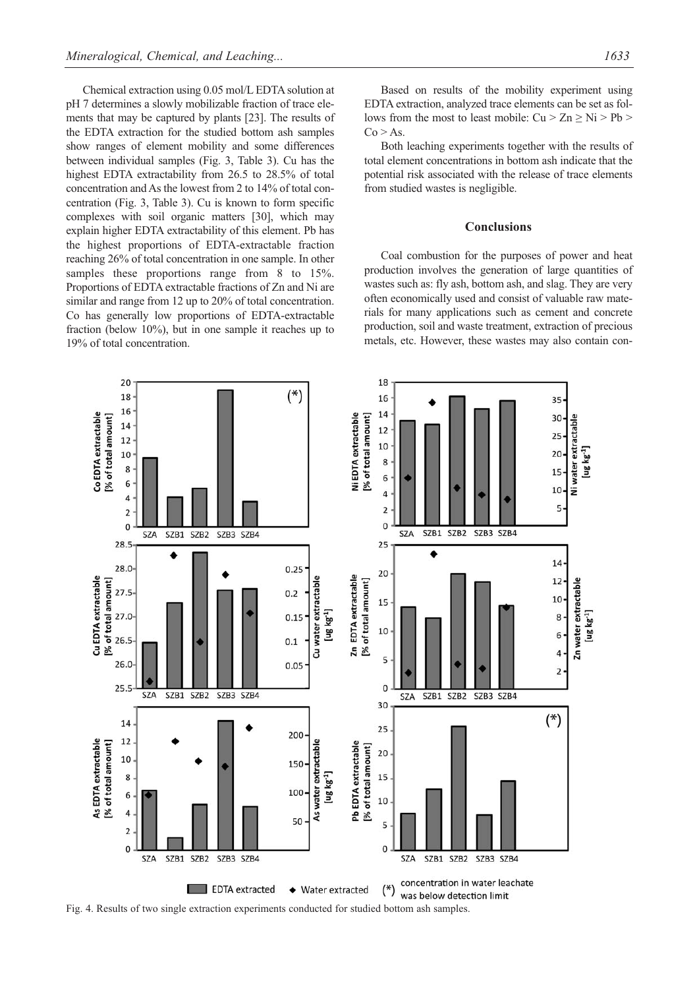Chemical extraction using 0.05 mol/L EDTA solution at pH 7 determines a slowly mobilizable fraction of trace elements that may be captured by plants [23]. The results of the EDTA extraction for the studied bottom ash samples show ranges of element mobility and some differences between individual samples (Fig. 3, Table 3). Cu has the highest EDTA extractability from 26.5 to 28.5% of total concentration and As the lowest from 2 to 14% of total concentration (Fig. 3, Table 3). Cu is known to form specific complexes with soil organic matters [30], which may explain higher EDTA extractability of this element. Pb has the highest proportions of EDTA-extractable fraction reaching 26% of total concentration in one sample. In other samples these proportions range from 8 to 15%. Proportions of EDTA extractable fractions of Zn and Ni are similar and range from 12 up to 20% of total concentration. Co has generally low proportions of EDTA-extractable fraction (below 10%), but in one sample it reaches up to 19% of total concentration.

Based on results of the mobility experiment using EDTA extraction, analyzed trace elements can be set as follows from the most to least mobile:  $Cu > Zn \geq Ni > Pb$  $Co > As.$ 

Both leaching experiments together with the results of total element concentrations in bottom ash indicate that the potential risk associated with the release of trace elements from studied wastes is negligible.

## **Conclusions**

Coal combustion for the purposes of power and heat production involves the generation of large quantities of wastes such as: fly ash, bottom ash, and slag. They are very often economically used and consist of valuable raw materials for many applications such as cement and concrete production, soil and waste treatment, extraction of precious metals, etc. However, these wastes may also contain con-



Fig. 4. Results of two single extraction experiments conducted for studied bottom ash samples.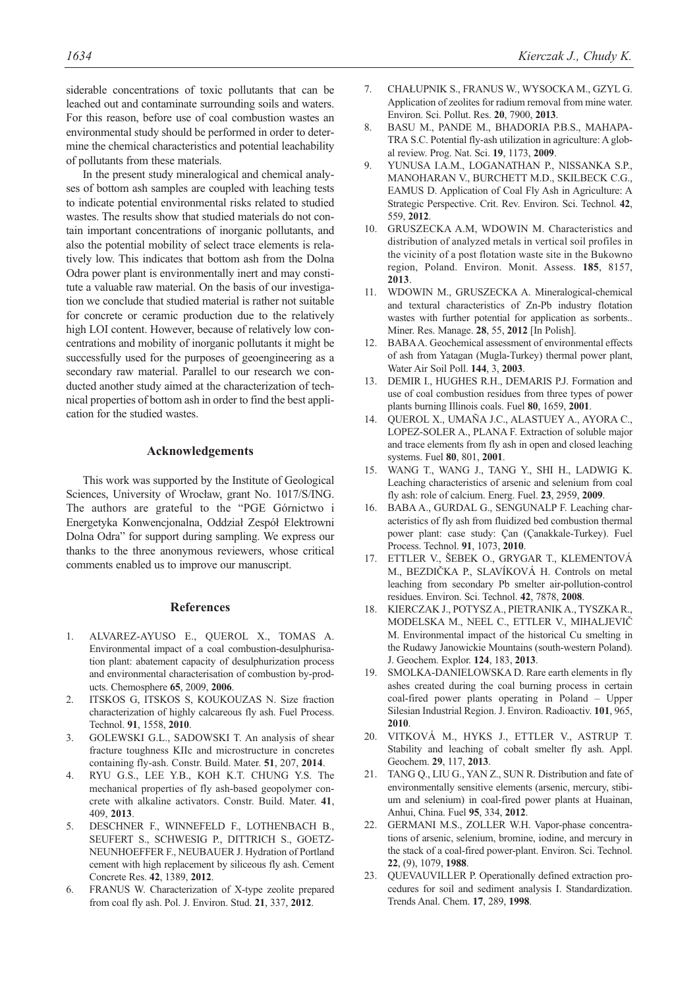siderable concentrations of toxic pollutants that can be leached out and contaminate surrounding soils and waters. For this reason, before use of coal combustion wastes an environmental study should be performed in order to determine the chemical characteristics and potential leachability of pollutants from these materials.

In the present study mineralogical and chemical analyses of bottom ash samples are coupled with leaching tests to indicate potential environmental risks related to studied wastes. The results show that studied materials do not contain important concentrations of inorganic pollutants, and also the potential mobility of select trace elements is relatively low. This indicates that bottom ash from the Dolna Odra power plant is environmentally inert and may constitute a valuable raw material. On the basis of our investigation we conclude that studied material is rather not suitable for concrete or ceramic production due to the relatively high LOI content. However, because of relatively low concentrations and mobility of inorganic pollutants it might be successfully used for the purposes of geoengineering as a secondary raw material. Parallel to our research we conducted another study aimed at the characterization of technical properties of bottom ash in order to find the best application for the studied wastes.

# **Acknowledgements**

This work was supported by the Institute of Geological Sciences, University of Wrocław, grant No. 1017/S/ING. The authors are grateful to the "PGE Górnictwo i Energetyka Konwencjonalna, Oddział Zespół Elektrowni Dolna Odra" for support during sampling. We express our thanks to the three anonymous reviewers, whose critical comments enabled us to improve our manuscript.

#### **References**

- 1. ALVAREZ-AYUSO E., QUEROL X., TOMAS A. Environmental impact of a coal combustion-desulphurisation plant: abatement capacity of desulphurization process and environmental characterisation of combustion by-products. Chemosphere **65**, 2009, **2006**.
- 2. ITSKOS G, ITSKOS S, KOUKOUZAS N. Size fraction characterization of highly calcareous fly ash. Fuel Process. Technol. **91**, 1558, **2010**.
- 3. GOLEWSKI G.L., SADOWSKI T. An analysis of shear fracture toughness KIIc and microstructure in concretes containing fly-ash. Constr. Build. Mater. **51**, 207, **2014**.
- 4. RYU G.S., LEE Y.B., KOH K.T. CHUNG Y.S. The mechanical properties of fly ash-based geopolymer concrete with alkaline activators. Constr. Build. Mater. **41**, 409, **2013**.
- 5. DESCHNER F., WINNEFELD F., LOTHENBACH B., SEUFERT S., SCHWESIG P., DITTRICH S., GOETZ-NEUNHOEFFER F., NEUBAUER J. Hydration of Portland cement with high replacement by siliceous fly ash. Cement Concrete Res. **42**, 1389, **2012**.
- 6. FRANUS W. Characterization of X-type zeolite prepared from coal fly ash. Pol. J. Environ. Stud. **21**, 337, **2012**.
- 7. CHAŁUPNIK S., FRANUS W., WYSOCKA M., GZYL G. Application of zeolites for radium removal from mine water. Environ. Sci. Pollut. Res. **20**, 7900, **2013**.
- 8. BASU M., PANDE M., BHADORIA P.B.S., MAHAPA-TRA S.C. Potential fly-ash utilization in agriculture: A global review. Prog. Nat. Sci. **19**, 1173, **2009**.
- 9. YUNUSA I.A.M., LOGANATHAN P., NISSANKA S.P., MANOHARAN V., BURCHETT M.D., SKILBECK C.G., EAMUS D. Application of Coal Fly Ash in Agriculture: A Strategic Perspective. Crit. Rev. Environ. Sci. Technol. **42**, 559, **2012**.
- 10. GRUSZECKA A.M, WDOWIN M. Characteristics and distribution of analyzed metals in vertical soil profiles in the vicinity of a post flotation waste site in the Bukowno region, Poland. Environ. Monit. Assess. **185**, 8157, **2013**.
- 11. WDOWIN M., GRUSZECKA A. Mineralogical-chemical and textural characteristics of Zn-Pb industry flotation wastes with further potential for application as sorbents.. Miner. Res. Manage. **28**, 55, **2012** [In Polish].
- 12. BABA A. Geochemical assessment of environmental effects of ash from Yatagan (Mugla-Turkey) thermal power plant, Water Air Soil Poll. **144**, 3, **2003**.
- 13. DEMIR I., HUGHES R.H., DEMARIS P.J. Formation and use of coal combustion residues from three types of power plants burning Illinois coals. Fuel **80**, 1659, **2001**.
- 14. QUEROL X., UMAÑA J.C., ALASTUEY A., AYORA C., LOPEZ-SOLER A., PLANA F. Extraction of soluble major and trace elements from fly ash in open and closed leaching systems. Fuel **80**, 801, **2001**.
- 15. WANG T., WANG J., TANG Y., SHI H., LADWIG K. Leaching characteristics of arsenic and selenium from coal fly ash: role of calcium. Energ. Fuel. **23**, 2959, **2009**.
- 16. BABA A., GURDAL G., SENGUNALP F. Leaching characteristics of fly ash from fluidized bed combustion thermal power plant: case study: Çan (Çanakkale-Turkey). Fuel Process. Technol. **91**, 1073, **2010**.
- 17. ETTLER V., ŠEBEK O., GRYGAR T., KLEMENTOVÁ M., BEZDIČKA P., SLAVÍKOVÁ H. Controls on metal leaching from secondary Pb smelter air-pollution-control residues. Environ. Sci. Technol. **42**, 7878, **2008**.
- 18. KIERCZAK J., POTYSZ A., PIETRANIK A., TYSZKA R., MODELSKA M., NEEL C., ETTLER V., MIHALJEVIČ M. Environmental impact of the historical Cu smelting in the Rudawy Janowickie Mountains (south-western Poland). J. Geochem. Explor. **124**, 183, **2013**.
- 19. SMOLKA-DANIELOWSKA D. Rare earth elements in fly ashes created during the coal burning process in certain coal-fired power plants operating in Poland – Upper Silesian Industrial Region. J. Environ. Radioactiv. **101**, 965, **2010**.
- 20. VITKOVÁ M., HYKS J., ETTLER V., ASTRUP T. Stability and leaching of cobalt smelter fly ash. Appl. Geochem. **29**, 117, **2013**.
- 21. TANG Q., LIU G., YAN Z., SUN R. Distribution and fate of environmentally sensitive elements (arsenic, mercury, stibium and selenium) in coal-fired power plants at Huainan, Anhui, China. Fuel **95**, 334, **2012**.
- 22. GERMANI M.S., ZOLLER W.H. Vapor-phase concentrations of arsenic, selenium, bromine, iodine, and mercury in the stack of a coal-fired power-plant. Environ. Sci. Technol. **22**, (9), 1079, **1988**.
- 23. QUEVAUVILLER P. Operationally defined extraction procedures for soil and sediment analysis I. Standardization. Trends Anal. Chem. **17**, 289, **1998**.